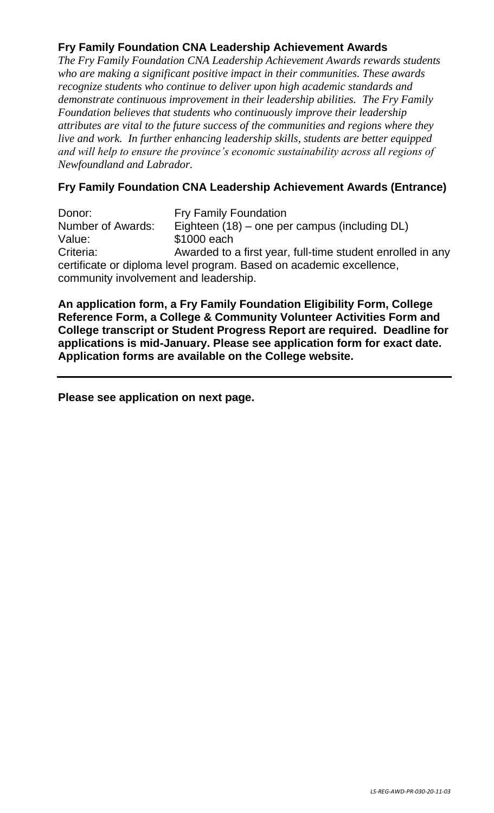## **Fry Family Foundation CNA Leadership Achievement Awards**

*The Fry Family Foundation CNA Leadership Achievement Awards rewards students who are making a significant positive impact in their communities. These awards recognize students who continue to deliver upon high academic standards and demonstrate continuous improvement in their leadership abilities. The Fry Family Foundation believes that students who continuously improve their leadership attributes are vital to the future success of the communities and regions where they live and work. In further enhancing leadership skills, students are better equipped and will help to ensure the province's economic sustainability across all regions of Newfoundland and Labrador.*

## **Fry Family Foundation CNA Leadership Achievement Awards (Entrance)**

Donor: Fry Family Foundation Number of Awards: Eighteen (18) – one per campus (including DL) Value: \$1000 each Criteria: Awarded to a first year, full-time student enrolled in any certificate or diploma level program. Based on academic excellence, community involvement and leadership.

**An application form, a Fry Family Foundation Eligibility Form, College Reference Form, a College & Community Volunteer Activities Form and College transcript or Student Progress Report are required. Deadline for applications is mid-January. Please see application form for exact date. Application forms are available on the College website.**

**Please see application on next page.**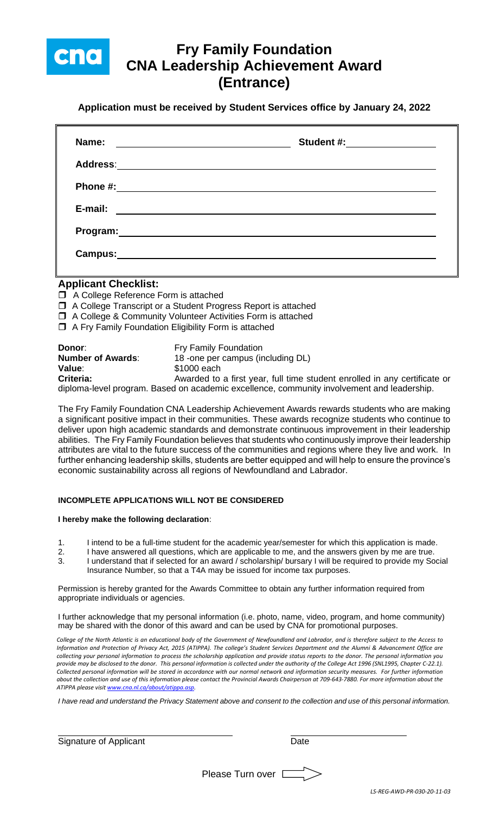

# **Fry Family Foundation CNA Leadership Achievement Award (Entrance)**

**Application must be received by Student Services office by January 24, 2022**

| Name:                                                                                                         | <u> 1989 - Johann John Stein, markin fizik eta idazlea (</u> | Student #: ____________________                                                                                      |  |
|---------------------------------------------------------------------------------------------------------------|--------------------------------------------------------------|----------------------------------------------------------------------------------------------------------------------|--|
|                                                                                                               |                                                              |                                                                                                                      |  |
| Phone #:                                                                                                      |                                                              | <u> 1989 - Jan James James Jan James James James James James James James James James James James James James Jam</u> |  |
| E-mail:                                                                                                       |                                                              |                                                                                                                      |  |
| Program: Note and the set of the set of the set of the set of the set of the set of the set of the set of the |                                                              |                                                                                                                      |  |
| <b>Campus:</b>                                                                                                |                                                              |                                                                                                                      |  |

### **Applicant Checklist:**

- □ A College Reference Form is attached
- □ A College Transcript or a Student Progress Report is attached
- A College & Community Volunteer Activities Form is attached
- $\Box$  A Fry Family Foundation Eligibility Form is attached

| Donor:                   | <b>Fry Family Foundation</b>                                                               |
|--------------------------|--------------------------------------------------------------------------------------------|
| <b>Number of Awards:</b> | 18 -one per campus (including DL)                                                          |
| Value:                   | \$1000 each                                                                                |
| Criteria:                | Awarded to a first year, full time student enrolled in any certificate or                  |
|                          | diploma-level program. Based on academic excellence, community involvement and leadership. |

The Fry Family Foundation CNA Leadership Achievement Awards rewards students who are making a significant positive impact in their communities. These awards recognize students who continue to deliver upon high academic standards and demonstrate continuous improvement in their leadership abilities. The Fry Family Foundation believes that students who continuously improve their leadership attributes are vital to the future success of the communities and regions where they live and work. In further enhancing leadership skills, students are better equipped and will help to ensure the province's economic sustainability across all regions of Newfoundland and Labrador.

#### **INCOMPLETE APPLICATIONS WILL NOT BE CONSIDERED**

#### **I hereby make the following declaration**:

- 1. I intend to be a full-time student for the academic year/semester for which this application is made.
- 2. I have answered all questions, which are applicable to me, and the answers given by me are true.
- 3. I understand that if selected for an award / scholarship/ bursary I will be required to provide my Social Insurance Number, so that a T4A may be issued for income tax purposes.

Permission is hereby granted for the Awards Committee to obtain any further information required from appropriate individuals or agencies.

I further acknowledge that my personal information (i.e. photo, name, video, program, and home community) may be shared with the donor of this award and can be used by CNA for promotional purposes.

*College of the North Atlantic is an educational body of the Government of Newfoundland and Labrador, and is therefore subject to the Access to Information and Protection of Privacy Act, 2015 (ATIPPA). The college's Student Services Department and the Alumni & Advancement Office are collecting your personal information to process the scholarship application and provide status reports to the donor. The personal information you provide may be disclosed to the donor. This personal information is collected under the authority of the College Act 1996 (SNL1995, Chapter C-22.1). Collected personal information will be stored in accordance with our normal network and information security measures. For further information about the collection and use of this information please contact the Provincial Awards Chairperson at 709-643-7880. For more information about the ATIPPA please visi[t www.cna.nl.ca/about/atippa.asp.](http://www.cna.nl.ca/about/atippa.asp)*

*I have read and understand the Privacy Statement above and consent to the collection and use of this personal information.*

|  | Signature of Applicant | Date |
|--|------------------------|------|
|--|------------------------|------|

Please Turn over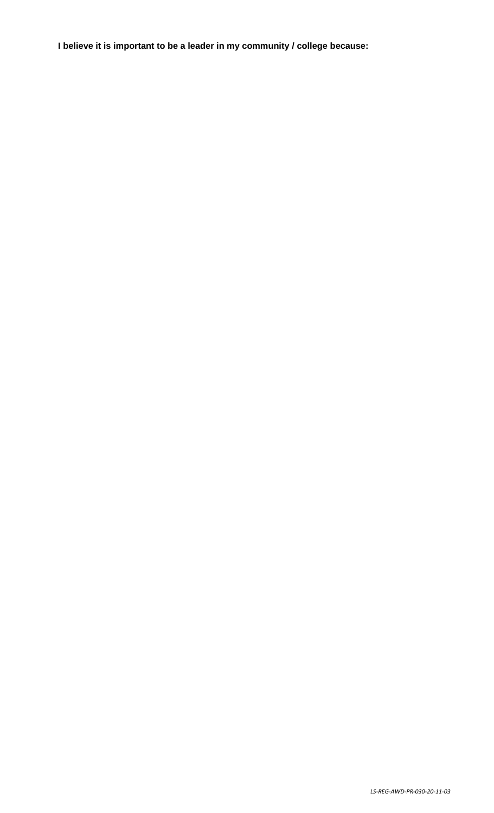**I believe it is important to be a leader in my community / college because:**